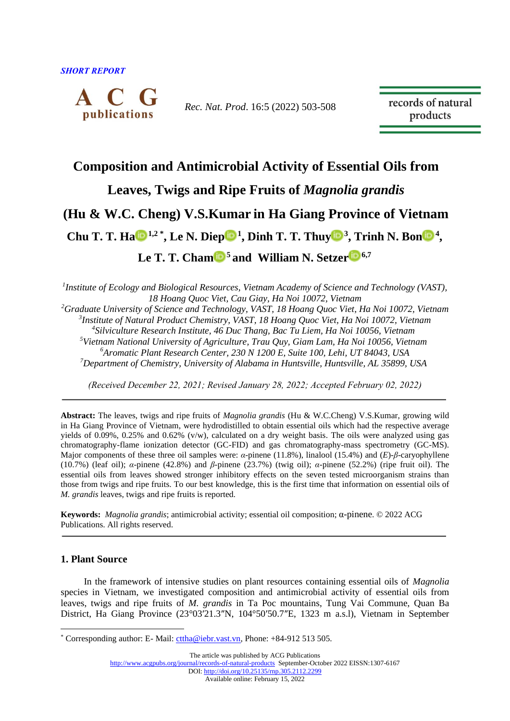

*Rec. Nat. Prod*. 16:5 (2022) 503-508

records of natural products

## **Composition and Antimicrobial Activity of Essential Oils from**

## **Leaves, Twigs and Ripe Fruits of** *Magnolia grandis*

# **(Hu & W.C. Cheng) V.S.Kumar in Ha Giang Province of Vietnam**

**Chu T. T. H[a](https://orcid.org/0000-0002-3479-9469)**  $\mathbf{D}^{1,2}$ <su[p](https://orcid.org/0000-0002-7219-6511)>\*</sup>, Le N. Diep $\mathbf{D}^1$ , Dinh T. T. Thu[y](https://orcid.org/0000-0002-6687-9340) $\mathbf{D}^3$ , Tri[n](https://orcid.org/0000-0001-7530-8008)h N. Bon $\mathbf{D}^4$ ,

**Le T. T. Cha[m](https://orcid.org/0000-0002-6215-7332) <sup>5</sup> and William N. Setze[r](https://orcid.org/0000-0002-3639-0528) 6,7**

*1 Institute of Ecology and Biological Resources, Vietnam Academy of Science and Technology (VAST), 18 Hoang Quoc Viet, Cau Giay, Ha Noi 10072, Vietnam*

*Graduate University of Science and Technology, VAST, 18 Hoang Quoc Viet, Ha Noi 10072, Vietnam Institute of Natural Product Chemistry, VAST, 18 Hoang Quoc Viet, Ha Noi 10072, Vietnam Silviculture Research Institute, 46 Duc Thang, Bac Tu Liem, Ha Noi 10056, Vietnam Vietnam National University of Agriculture, Trau Quy, Giam Lam, Ha Noi 10056, Vietnam Aromatic Plant Research Center, 230 N 1200 E, Suite 100, Lehi, UT 84043, USA Department of Chemistry, University of Alabama in Huntsville, Huntsville, AL 35899, USA*

*(Received December 22, 2021; Revised January 28, 2022; Accepted February 02, 2022)*

**Abstract:** The leaves, twigs and ripe fruits of *Magnolia grandis* (Hu & W.C.Cheng) V.S.Kumar, growing wild in Ha Giang Province of Vietnam, were hydrodistilled to obtain essential oils which had the respective average yields of 0.09%, 0.25% and 0.62% (v/w), calculated on a dry weight basis. The oils were analyzed using gas chromatography-flame ionization detector (GC-FID) and gas chromatography-mass spectrometry (GC-MS). Major components of these three oil samples were: *α*-pinene (11.8%), linalool (15.4%) and (*E*)-*β*-caryophyllene (10.7%) (leaf oil); *α*-pinene (42.8%) and *β*-pinene (23.7%) (twig oil); *α*-pinene (52.2%) (ripe fruit oil). The essential oils from leaves showed stronger inhibitory effects on the seven tested microorganism strains than those from twigs and ripe fruits. To our best knowledge, this is the first time that information on essential oils of *M. grandis* leaves, twigs and ripe fruits is reported.

**Keywords:** *Magnolia grandis*; antimicrobial activity; essential oil composition; α-pinene. © 2022 ACG Publications. All rights reserved.

## **1. Plant Source**

In the framework of intensive studies on plant resources containing essential oils of *Magnolia* species in Vietnam, we investigated composition and antimicrobial activity of essential oils from leaves, twigs and ripe fruits of *M. grandis* in Ta Poc mountains, Tung Vai Commune, Quan Ba District, Ha Giang Province (23°03′21.3″N, 104°50′50.7″E, 1323 m a.s.l), Vietnam in September

<sup>\*</sup> Corresponding author: E- Mail[: cttha@iebr.vast.vn,](mailto:cttha@iebr.vast.vn) Phone: +84-912 513 505.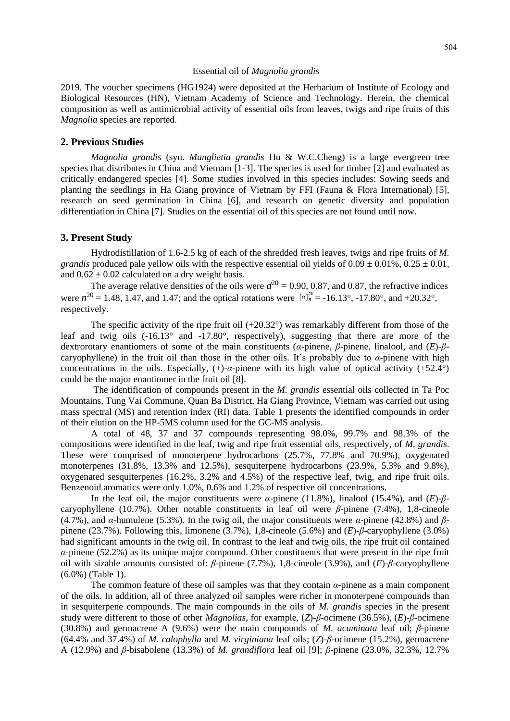#### Essential oil of *Magnolia grandis*

2019. The voucher specimens (HG1924) were deposited at the Herbarium of Institute of Ecology and Biological Resources (HN), Vietnam Academy of Science and Technology. Herein, the chemical composition as well as antimicrobial activity of essential oils from leaves, twigs and ripe fruits of this *Magnolia* species are reported.

### **2. Previous Studies**

*Magnolia grandis* (syn. *Manglietia grandis* Hu & W.C.Cheng) is a large evergreen tree species that distributes in China and Vietnam [1-3]. The species is used for timber [2] and evaluated as critically endangered species [4]. Some studies involved in this species includes: Sowing seeds and planting the seedlings in Ha Giang province of Vietnam by FFI (Fauna & Flora International) [5], research on seed germination in China [6], and research on genetic diversity and population differentiation in China [7]. Studies on the essential oil of this species are not found until now.

### **3. Present Study**

Hydrodistillation of 1.6-2.5 kg of each of the shredded fresh leaves, twigs and ripe fruits of *M. grandis* produced pale yellow oils with the respective essential oil yields of  $0.09 \pm 0.01\%$ ,  $0.25 \pm 0.01$ , and  $0.62 \pm 0.02$  calculated on a dry weight basis.

The average relative densities of the oils were  $d^{20} = 0.90, 0.87$ , and 0.87, the refractive indices were  $n^{20} = 1.48$ , 1.47, and 1.47; and the optical rotations were  $[\alpha]_{\alpha}^{20} = -16.13^{\circ}$ , -17.80°, and +20.32°, respectively.

The specific activity of the ripe fruit oil  $(+20.32^{\circ})$  was remarkably different from those of the leaf and twig oils (-16.13° and -17.80°, respectively), suggesting that there are more of the dextrorotary enantiomers of some of the main constituents (*α*-pinene, *β*-pinene, linalool, and (*E*)-*β*caryophyllene) in the fruit oil than those in the other oils. It's probably due to  $\alpha$ -pinene with high concentrations in the oils. Especially,  $(+)$ -*α*-pinene with its high value of optical activity  $(+52.4^{\circ})$ could be the major enantiomer in the fruit oil [8].

The identification of compounds present in the *M. grandis* essential oils collected in Ta Poc Mountains, Tung Vai Commune, Quan Ba District, Ha Giang Province, Vietnam was carried out using mass spectral (MS) and retention index (RI) data. Table 1 presents the identified compounds in order of their elution on the HP-5MS column used for the GC-MS analysis.

A total of 48, 37 and 37 compounds representing 98.0%, 99.7% and 98.3% of the compositions were identified in the leaf, twig and ripe fruit essential oils, respectively, of *M. grandis*. These were comprised of monoterpene hydrocarbons (25.7%, 77.8% and 70.9%), oxygenated monoterpenes (31.8%, 13.3% and 12.5%), sesquiterpene hydrocarbons (23.9%, 5.3% and 9.8%), oxygenated sesquiterpenes (16.2%, 3.2% and 4.5%) of the respective leaf, twig, and ripe fruit oils. Benzenoid aromatics were only 1.0%, 0.6% and 1.2% of respective oil concentrations.

In the leaf oil, the major constituents were  $\alpha$ -pinene (11.8%), linalool (15.4%), and (*E*)- $\beta$ caryophyllene (10.7%). Other notable constituents in leaf oil were *β*-pinene (7.4%), 1,8-cineole (4.7%), and *α*-humulene (5.3%). In the twig oil, the major constituents were *α*-pinene (42.8%) and *β*pinene (23.7%). Following this, limonene (3.7%), 1,8-cineole (5.6%) and (*E*)-*β*-caryophyllene (3.0%) had significant amounts in the twig oil. In contrast to the leaf and twig oils, the ripe fruit oil contained *α*-pinene (52.2%) as its unique major compound. Other constituents that were present in the ripe fruit oil with sizable amounts consisted of: *β*-pinene (7.7%), 1,8-cineole (3.9%), and (*E*)-*β*-caryophyllene (6.0%) (Table 1).

The common feature of these oil samples was that they contain  $\alpha$ -pinene as a main component of the oils. In addition, all of three analyzed oil samples were richer in monoterpene compounds than in sesquiterpene compounds. The main compounds in the oils of *M. grandis* species in the present study were different to those of other *Magnolias*, for example, (*Z*)-*β*-ocimene (36.5%), (*E*)-*β*-ocimene (30.8%) and germacrene A (9.6%) were the main compounds of *M. acuminata* leaf oil; *β*-pinene (64.4% and 37.4%) of *M. calophylla* and *M. virginiana* leaf oils; (*Z*)-*β*-ocimene (15.2%), germacrene A (12.9%) and *β*-bisabolene (13.3%) of *M. grandiflora* leaf oil [9]; *β*-pinene (23.0%, 32.3%, 12.7%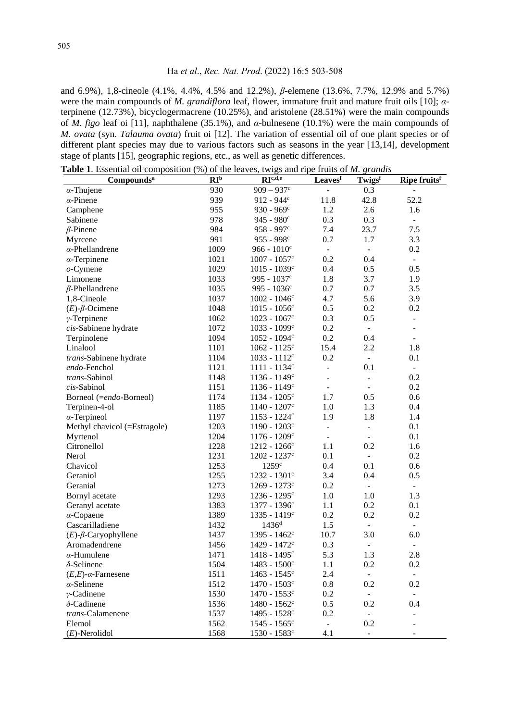### Ha *et al*., *Rec. Nat. Prod*. (2022) 16:5 503-508

and 6.9%), 1,8-cineole (4.1%, 4.4%, 4.5% and 12.2%), *β*-elemene (13.6%, 7.7%, 12.9% and 5.7%) were the main compounds of *M. grandiflora* leaf, flower, immature fruit and mature fruit oils [10]; *α*terpinene (12.73%), bicyclogermacrene (10.25%), and aristolene (28.51%) were the main compounds of *M. figo* leaf oi [11], naphthalene (35.1%), and *α*-bulnesene (10.1%) were the main compounds of *M. ovata* (syn. *Talauma ovata*) fruit oi [12]. The variation of essential oil of one plant species or of different plant species may due to various factors such as seasons in the year [13,14], development stage of plants [15], geographic regions, etc., as well as genetic differences.

**Table 1**. Essential oil composition (%) of the leaves, twigs and ripe fruits of *M. grandis*

| Compounds <sup>a</sup>        | RI <sup>b</sup> | $\cdots$<br>$RI^{c,\overline{d,e}}$ | Leavesf                  | $\cdots$<br>Twigsf | Ripe fruits <sup>f</sup> |
|-------------------------------|-----------------|-------------------------------------|--------------------------|--------------------|--------------------------|
| $\alpha$ -Thujene             | 930             | $909 - 937$ c                       |                          | 0.3                |                          |
| $\alpha$ -Pinene              | 939             | $912 - 944$ c                       | 11.8                     | 42.8               | 52.2                     |
| Camphene                      | 955             | $930 - 969^{\circ}$                 | 1.2                      | 2.6                | 1.6                      |
| Sabinene                      | 978             | $945 - 980^{\circ}$                 | 0.3                      | 0.3                | $\equiv$                 |
| $\beta$ -Pinene               | 984             | $958 - 997c$                        | 7.4                      | 23.7               | 7.5                      |
| Myrcene                       | 991             | $955 - 998c$                        | 0.7                      | 1.7                | 3.3                      |
| $\alpha$ -Phellandrene        | 1009            | $966 - 1010$ c                      | $\overline{\phantom{a}}$ | $\blacksquare$     | 0.2                      |
| $\alpha$ -Terpinene           | 1021            | $1007 - 1057$ c                     | 0.2                      | 0.4                | $\blacksquare$           |
| $o$ -Cymene                   | 1029            | $1015 - 1039$ c                     | 0.4                      | 0.5                | 0.5                      |
| Limonene                      | 1033            | 995 - $1037^{\circ}$                | 1.8                      | 3.7                | 1.9                      |
| $\beta$ -Phellandrene         | 1035            | 995 - $1036^{\circ}$                | 0.7                      | 0.7                | 3.5                      |
| 1,8-Cineole                   | 1037            | $1002 - 1046c$                      | 4.7                      | 5.6                | 3.9                      |
| $(E)$ - $\beta$ -Ocimene      | 1048            | $1015 - 1056$ c                     | 0.5                      | 0.2                | 0.2                      |
| $\gamma$ -Terpinene           | 1062            | $1023 - 1067$ c                     | 0.3                      | 0.5                | $\overline{\phantom{a}}$ |
| cis-Sabinene hydrate          | 1072            | $1033 - 1099c$                      | 0.2                      | $\blacksquare$     | ÷,                       |
| Terpinolene                   | 1094            | $1052 - 1094^c$                     | 0.2                      | 0.4                | $\overline{\phantom{a}}$ |
| Linalool                      | 1101            | $1062 - 1125$ <sup>c</sup>          | 15.4                     | 2.2                | 1.8                      |
| trans-Sabinene hydrate        | 1104            | $1033 - 1112^c$                     | 0.2                      | $\blacksquare$     | 0.1                      |
| endo-Fenchol                  | 1121            | $1111 - 1134$ c                     |                          | 0.1                | $\equiv$                 |
| trans-Sabinol                 | 1148            | $1136 - 1149$ c                     |                          |                    | 0.2                      |
| $cis$ -Sabinol                | 1151            | $1136 - 1149$ c                     | $\blacksquare$           | $\blacksquare$     | 0.2                      |
| Borneol (=endo-Borneol)       | 1174            | $1134 - 1205$ c                     | 1.7                      | 0.5                | 0.6                      |
| Terpinen-4-ol                 | 1185            | $1140 - 1207$ <sup>c</sup>          | 1.0                      | 1.3                | 0.4                      |
| $\alpha$ -Terpineol           | 1197            | $1153 - 1224$ c                     | 1.9                      | 1.8                | 1.4                      |
| Methyl chavicol (=Estragole)  | 1203            | $1190 - 1203$ c                     | $\Box$                   | $\Box$             | 0.1                      |
| Myrtenol                      | 1204            | $1176 - 1209$ c                     | $\equiv$                 | $\blacksquare$     | 0.1                      |
| Citronellol                   | 1228            | $1212 - 1266$ c                     | 1.1                      | 0.2                | 1.6                      |
| Nerol                         | 1231            | $1202 - 1237$ c                     | 0.1                      | $\equiv$           | 0.2                      |
| Chavicol                      | 1253            | 1259c                               | 0.4                      | 0.1                | 0.6                      |
| Geraniol                      | 1255            | $1232 - 1301$ c                     | 3.4                      | 0.4                | 0.5                      |
| Geranial                      | 1273            | $1269 - 1273$ c                     | 0.2                      |                    | $\overline{\phantom{0}}$ |
| Bornyl acetate                | 1293            | $1236 - 1295$ c                     | 1.0                      | 1.0                | 1.3                      |
| Geranyl acetate               | 1383            | 1377 - 1396 <sup>c</sup>            | 1.1                      | 0.2                | 0.1                      |
| $\alpha$ -Copaene             | 1389            | $1335 - 1419$ c                     | 0.2                      | 0.2                | 0.2                      |
| Cascarilladiene               | 1432            | $1436^d$                            | 1.5                      |                    | $\overline{\phantom{a}}$ |
| $(E)-\beta$ -Caryophyllene    | 1437            | $1395 - 1462$ c                     | 10.7                     | 3.0                | 6.0                      |
| Aromadendrene                 | 1456            | 1429 - 1472 <sup>c</sup>            | 0.3                      | $\Box$             | $\qquad \qquad \Box$     |
| $\alpha$ -Humulene            | 1471            | 1418 - 1495 <sup>c</sup>            | 5.3                      | 1.3                | 2.8                      |
| $\delta$ -Selinene            | 1504            | $1483 - 1500$ <sup>c</sup>          | 1.1                      | 0.2                | 0.2                      |
| $(E,E)$ - $\alpha$ -Farnesene | 1511            | $1463 - 1545$ <sup>c</sup>          | 2.4                      | $\blacksquare$     | $\equiv$                 |
| $\alpha$ -Selinene            | 1512            | $1470 - 1503$ c                     | 0.8                      | 0.2                | 0.2                      |
| $\nu$ -Cadinene               | 1530            | $1470 - 1553$ c                     | 0.2                      | $\equiv$           | $\equiv$                 |
| $\delta$ -Cadinene            | 1536            | $1480 - 1562$ c                     | 0.5                      | 0.2                | 0.4                      |
| trans-Calamenene              | 1537            | $1495 - 1528$ c                     | 0.2                      | $\blacksquare$     |                          |
| Elemol                        | 1562            | $1545 - 1565$ c                     | $\equiv$                 | 0.2                |                          |
| $(E)$ -Nerolidol              | 1568            | 1530 - 1583 <sup>c</sup>            | 4.1                      |                    |                          |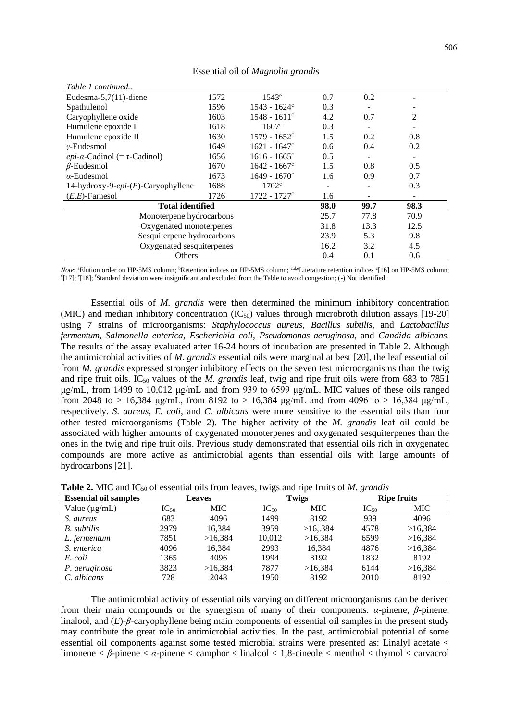| Table 1 continued                        |      |                            |      |      |      |  |
|------------------------------------------|------|----------------------------|------|------|------|--|
| Eudesma-5,7 $(11)$ -diene                | 1572 | 1543 <sup>e</sup>          | 0.7  | 0.2  |      |  |
| Spathulenol                              | 1596 | $1543 - 1624^{\circ}$      | 0.3  | ۰    | -    |  |
| Caryophyllene oxide                      | 1603 | $1548 - 1611$ <sup>c</sup> | 4.2  | 0.7  | 2    |  |
| Humulene epoxide I                       | 1618 | 1607 <sup>c</sup>          | 0.3  |      |      |  |
| Humulene epoxide II                      | 1630 | $1579 - 1652^{\circ}$      | 1.5  | 0.2  | 0.8  |  |
| $\nu$ -Eudesmol                          | 1649 | $1621 - 1647$ °            | 0.6  | 0.4  | 0.2  |  |
| <i>epi-a-Cadinol</i> (= $\tau$ -Cadinol) | 1656 | $1616 - 1665$ <sup>c</sup> | 0.5  |      |      |  |
| $\beta$ -Eudesmol                        | 1670 | $1642 - 1667$ <sup>c</sup> | 1.5  | 0.8  | 0.5  |  |
| $\alpha$ -Eudesmol                       | 1673 | $1649 - 1670^{\circ}$      | 1.6  | 0.9  | 0.7  |  |
| 14-hydroxy-9-epi- $(E)$ -Caryophyllene   | 1688 | 1702 <sup>c</sup>          |      |      | 0.3  |  |
| $(E,E)$ -Farnesol                        | 1726 | $1722 - 1727$ °            | 1.6  |      | ۰    |  |
| <b>Total identified</b>                  | 98.0 | 99.7                       | 98.3 |      |      |  |
| Monoterpene hydrocarbons                 |      |                            | 25.7 | 77.8 | 70.9 |  |
| Oxygenated monoterpenes                  |      |                            | 31.8 | 13.3 | 12.5 |  |
| Sesquiterpene hydrocarbons               |      |                            | 23.9 | 5.3  | 9.8  |  |
| Oxygenated sesquiterpenes                |      |                            | 16.2 | 3.2  | 4.5  |  |
| Others                                   |      |                            | 0.4  | 0.1  | 0.6  |  |

Essential oil of *Magnolia grandis*

*Note*: <sup>a</sup>Elution order on HP-5MS column; <sup>b</sup>Retention indices on HP-5MS column; <sup>c,d,e</sup>Literature retention indices <sup>c</sup>[16] on HP-5MS column;  $d[17]$ ;  $e[18]$ ; <sup>f</sup>Standard deviation were insignificant and excluded from the Table to avoid congestion; (-) Not identified.

Essential oils of *M. grandis* were then determined the minimum inhibitory concentration (MIC) and median inhibitory concentration  $(IC_{50})$  values through microbroth dilution assays [19-20] using 7 strains of microorganisms: *Staphylococcus aureus*, *Bacillus subtilis*, and *Lactobacillus fermentum*, *Salmonella enterica*, *Escherichia coli*, *Pseudomonas aeruginosa*, and *Candida albicans.* The results of the assay evaluated after 16-24 hours of incubation are presented in Table 2. Although the antimicrobial activities of *M. grandis* essential oils were marginal at best [20], the leaf essential oil from *M. grandis* expressed stronger inhibitory effects on the seven test microorganisms than the twig and ripe fruit oils. IC<sub>50</sub> values of the *M. grandis* leaf, twig and ripe fruit oils were from 683 to 7851 μg/mL, from 1499 to 10,012 μg/mL and from 939 to 6599 μg/mL. MIC values of these oils ranged from 2048 to > 16,384 μg/mL, from 8192 to > 16,384 μg/mL and from 4096 to > 16,384 μg/mL, respectively. *S. aureus*, *E. coli*, and *C. albicans* were more sensitive to the essential oils than four other tested microorganisms (Table 2). The higher activity of the *M. grandis* leaf oil could be associated with higher amounts of oxygenated monoterpenes and oxygenated sesquiterpenes than the ones in the twig and ripe fruit oils. Previous study demonstrated that essential oils rich in oxygenated compounds are more active as antimicrobial agents than essential oils with large amounts of hydrocarbons [21].

| <b>Essential oil samples</b> |           | <b>Leaves</b> |           | Twigs   |           | <b>Ripe fruits</b> |
|------------------------------|-----------|---------------|-----------|---------|-----------|--------------------|
| Value $(\mu g/mL)$           | $IC_{50}$ | MIC .         | $IC_{50}$ | MIC .   | $IC_{50}$ | MIC .              |
| S. aureus                    | 683       | 4096          | 1499      | 8192    | 939       | 4096               |
| B. subtilis                  | 2979      | 16.384        | 3959      | >16.384 | 4578      | >16.384            |
| L. fermentum                 | 7851      | >16.384       | 10.012    | >16.384 | 6599      | >16.384            |
| S. enterica                  | 4096      | 16.384        | 2993      | 16,384  | 4876      | >16,384            |
| E. coli                      | 1365      | 4096          | 1994      | 8192    | 1832      | 8192               |
| P. aeruginosa                | 3823      | >16.384       | 7877      | >16.384 | 6144      | >16,384            |
| C. albicans                  | 728       | 2048          | 1950      | 8192    | 2010      | 8192               |

**Table 2.** MIC and IC<sup>50</sup> of essential oils from leaves, twigs and ripe fruits of *M. grandis*

The antimicrobial activity of essential oils varying on different microorganisms can be derived from their main compounds or the synergism of many of their components. *α*-pinene, *β*-pinene, linalool, and (*E*)-*β*-caryophyllene being main components of essential oil samples in the present study may contribute the great role in antimicrobial activities. In the past, antimicrobial potential of some essential oil components against some tested microbial strains were presented as: Linalyl acetate < limonene < *β*-pinene < *α*-pinene < camphor < linalool < 1,8-cineole < menthol < thymol < carvacrol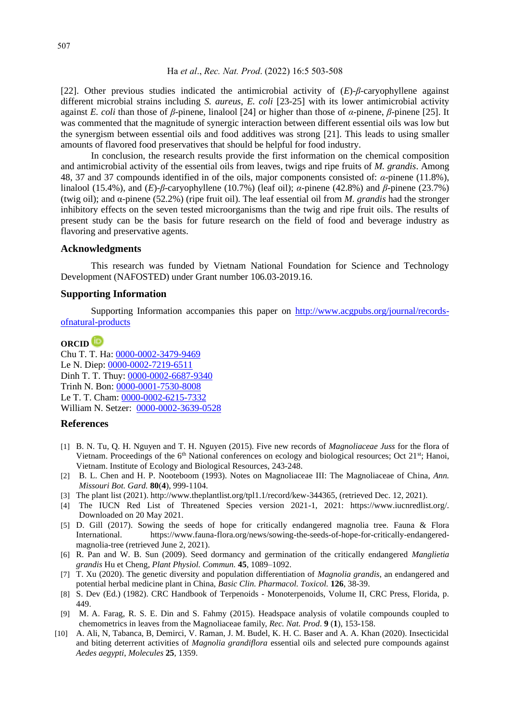[22]. Other previous studies indicated the antimicrobial activity of (*E*)-*β*-caryophyllene against different microbial strains including *S. aureus*, *E. coli* [23-25] with its lower antimicrobial activity against *E. coli* than those of *β*-pinene, linalool [24] or higher than those of *α*-pinene, *β*-pinene [25]. It was commented that the magnitude of synergic interaction between different essential oils was low but the synergism between essential oils and food additives was strong [21]. This leads to using smaller amounts of flavored food preservatives that should be helpful for food industry.

In conclusion, the research results provide the first information on the chemical composition and antimicrobial activity of the essential oils from leaves, twigs and ripe fruits of *M. grandis*. Among 48, 37 and 37 compounds identified in of the oils, major components consisted of: *α*-pinene (11.8%), linalool (15.4%), and (*E*)-*β*-caryophyllene (10.7%) (leaf oil); *α*-pinene (42.8%) and *β*-pinene (23.7%) (twig oil); and α-pinene (52.2%) (ripe fruit oil). The leaf essential oil from *M. grandis* had the stronger inhibitory effects on the seven tested microorganisms than the twig and ripe fruit oils. The results of present study can be the basis for future research on the field of food and beverage industry as flavoring and preservative agents.

### **Acknowledgments**

This research was funded by Vietnam National Foundation for Science and Technology Development (NAFOSTED) under Grant number 106.03-2019.16.

#### **Supporting Information**

Supporting Information accompanies this paper on http://www.acgpubs.org/journal/recordsofnatural-products

## **ORCID**

Chu T. T. Ha: [0000-0002-3479-9469](https://orcid.org/0000-0002-3479-9469) Le N. Diep: [0000-0002-7219-6511](https://orcid.org/0000-0002-7219-6511) Dinh T. T. Thuy: [0000-0002-6687-9340](https://orcid.org/0000-0002-6687-9340) Trinh N. Bon[: 0000-0001-7530-8008](https://orcid.org/0000-0001-7530-8008) Le T. T. Cham: [0000-0002-6215-7332](https://orcid.org/0000-0002-6215-7332) William N. Setzer: [0000-0002-3639-0528](https://orcid.org/0000-0002-3639-0528)

#### **References**

- [1] B. N. Tu, Q. H. Nguyen and T. H. Nguyen (2015). Five new records of *Magnoliaceae Juss* for the flora of Vietnam. Proceedings of the  $6<sup>th</sup>$  National conferences on ecology and biological resources; Oct 21 $<sup>st</sup>$ ; Hanoi,</sup> Vietnam. Institute of Ecology and Biological Resources, 243-248.
- [2] B. L. Chen and H. P. Nooteboom (1993). Notes on Magnoliaceae III: The Magnoliaceae of China, *Ann. Missouri Bot. Gard.* **80**(**4**), 999-1104.
- [3] The plant list (2021). http://www.theplantlist.org/tpl1.1/record/kew-344365, (retrieved Dec. 12, 2021).
- [4] The IUCN Red List of Threatened Species version 2021-1, 2021: https://www.iucnredlist.org/. Downloaded on 20 May 2021.
- [5] D. Gill (2017). Sowing the seeds of hope for critically endangered magnolia tree. Fauna & Flora International. https://www.fauna-flora.org/news/sowing-the-seeds-of-hope-for-critically-endangeredmagnolia-tree (retrieved June 2, 2021).
- [6] R. Pan and W. B. Sun (2009). Seed dormancy and germination of the critically endangered *Manglietia grandis* Hu et Cheng, *Plant Physiol. Commun.* **45**, 1089–1092.
- [7] T. Xu (2020). The genetic diversity and population differentiation of *Magnolia grandis*, an endangered and potential herbal medicine plant in China, *Basic Clin. Pharmacol. Toxicol.* **126**, 38-39.
- [8] S. Dev (Ed.) (1982). CRC Handbook of Terpenoids Monoterpenoids, Volume II, CRC Press, Florida, p. 449.
- [9] M. A. Farag, R. S. E. Din and S. Fahmy (2015). Headspace analysis of volatile compounds coupled to chemometrics in leaves from the Magnoliaceae family, *Rec. Nat. Prod*. **9** (**1**), 153-158.
- [10] A. Ali, N, Tabanca, B, Demirci, V. Raman, J. M. Budel, K. H. C. Baser and A. A. Khan (2020). Insecticidal and biting deterrent activities of *Magnolia grandiflora* essential oils and selected pure compounds against *Aedes aegypti*, *Molecules* **25***,* 1359.